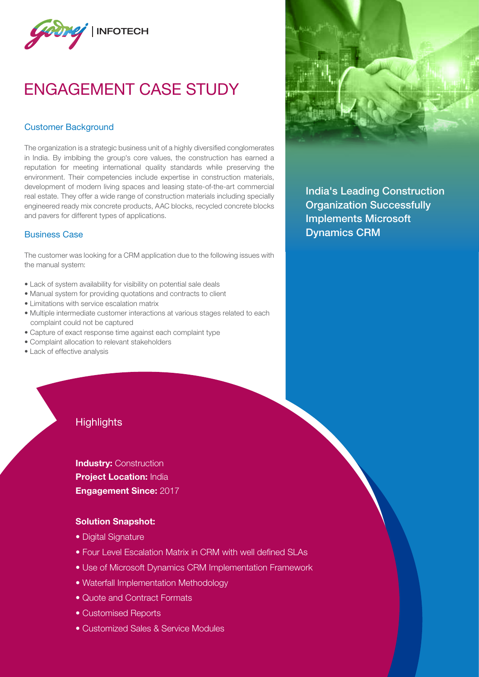

# ENGAGEMENT CASE STUDY

### Customer Background

The organization is a strategic business unit of a highly diversified conglomerates in India. By imbibing the group's core values, the construction has earned a reputation for meeting international quality standards while preserving the environment. Their competencies include expertise in construction materials, development of modern living spaces and leasing state-of-the-art commercial real estate. They offer a wide range of construction materials including specially engineered ready mix concrete products, AAC blocks, recycled concrete blocks and pavers for different types of applications.

#### Business Case

The customer was looking for a CRM application due to the following issues with the manual system:

- Lack of system availability for visibility on potential sale deals
- Manual system for providing quotations and contracts to client
- Limitations with service escalation matrix
- Multiple intermediate customer interactions at various stages related to each complaint could not be captured
- Capture of exact response time against each complaint type
- Complaint allocation to relevant stakeholders
- Lack of effective analysis

## **Highlights**

**Industry: Construction Project Location: India** Engagement Since: 2017

#### Solution Snapshot:

- Digital Signature
- Four Level Escalation Matrix in CRM with well defined SLAs
- Use of Microsoft Dynamics CRM Implementation Framework
- Waterfall Implementation Methodology
- Quote and Contract Formats
- Customised Reports
- Customized Sales & Service Modules



India's Leading Construction Organization Successfully Implements Microsoft Dynamics CRM